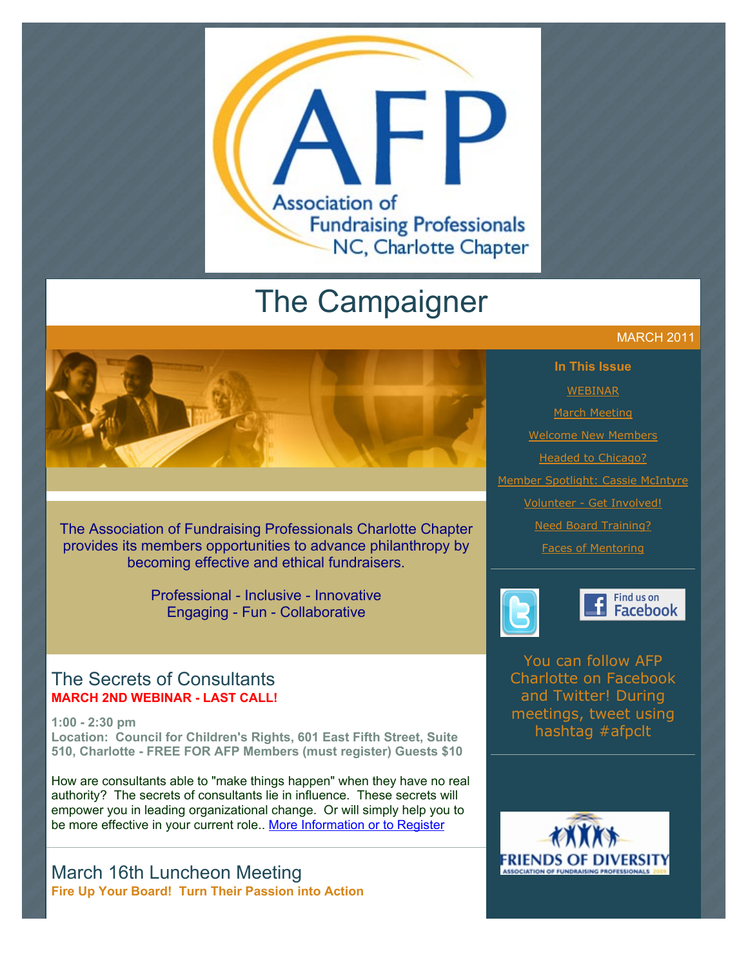

# The Campaigner

The Association of Fundraising Professionals Charlotte Chapter provides its members opportunities to advance philanthropy by becoming effective and ethical fundraisers.

> Professional - Inclusive - Innovative Engaging - Fun - Collaborative

#### The Secrets of Consultants **MARCH 2ND WEBINAR - LAST CALL!**

**1:00 - 2:30 pm Location: Council for Children's Rights, 601 East Fifth Street, Suite 510, Charlotte - FREE FOR AFP Members (must register) Guests \$10**

How are consultants able to "make things happen" when they have no real authority? The secrets of consultants lie in influence. These secrets will empower you in leading organizational change. Or will simply help you to be more effective in your current role.. [More Information or to Register](http://www.afp-charlotte.org/rsvp_details.html?id=3032)

March 16th Luncheon Meeting **Fire Up Your Board! Turn Their Passion into Action**

#### MARCH 2011

**In This Issue [WEBINAR](http://archive.constantcontact.com/fs051/1101610725496/archive/1104596662614.html#LETTER.BLOCK36)** [March Meeting](http://archive.constantcontact.com/fs051/1101610725496/archive/1104596662614.html#LETTER.BLOCK9) [Welcome New Members](http://archive.constantcontact.com/fs051/1101610725496/archive/1104596662614.html#LETTER.BLOCK11) [Headed to Chicago?](http://archive.constantcontact.com/fs051/1101610725496/archive/1104596662614.html#LETTER.BLOCK27) [Member Spotlight: Cassie McIntyre](http://archive.constantcontact.com/fs051/1101610725496/archive/1104596662614.html#LETTER.BLOCK28) [Volunteer - Get Involved!](http://archive.constantcontact.com/fs051/1101610725496/archive/1104596662614.html#LETTER.BLOCK30) [Need Board Training?](http://archive.constantcontact.com/fs051/1101610725496/archive/1104596662614.html#LETTER.BLOCK31) [Faces of Mentoring](http://archive.constantcontact.com/fs051/1101610725496/archive/1104596662614.html#LETTER.BLOCK35)



#### Find us on Facebook

You can follow AFP Charlotte on Facebook and Twitter! During meetings, tweet using hashtag #afpclt

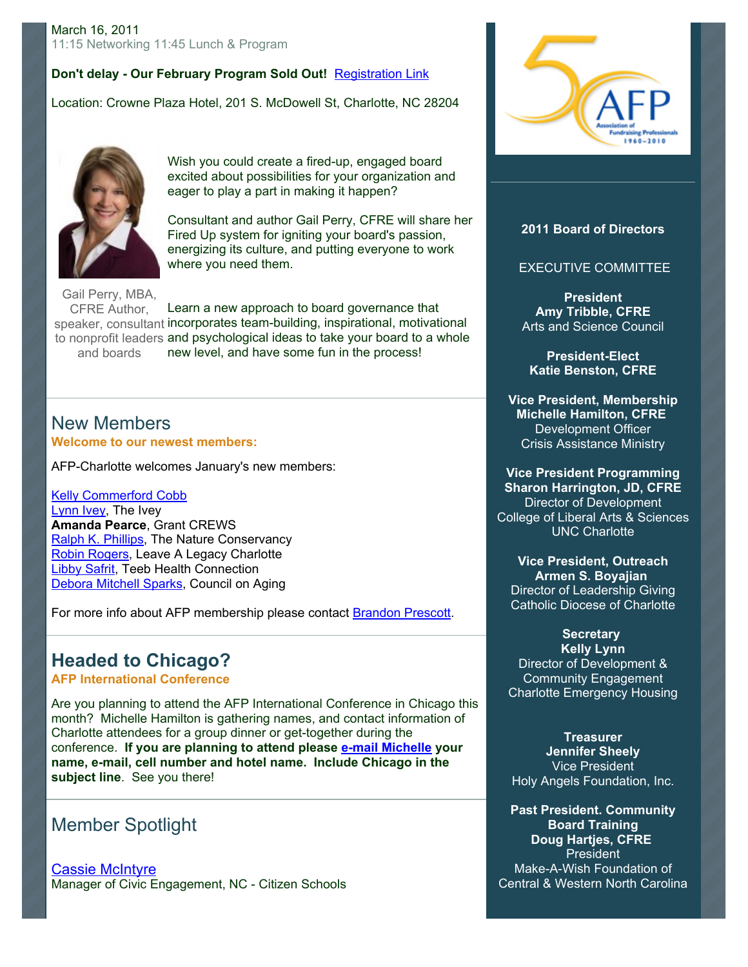#### **Don't delay - Our February Program Sold Out!** [Registration Link](http://www.afp-charlotte.org/rsvp_details.html?id=3009)

Location: Crowne Plaza Hotel, 201 S. McDowell St, Charlotte, NC 28204



Wish you could create a fired-up, engaged board excited about possibilities for your organization and eager to play a part in making it happen?

Consultant and author Gail Perry, CFRE will share her Fired Up system for igniting your board's passion, energizing its culture, and putting everyone to work where you need them.

Gail Perry, MBA, CFRE Author, speaker, consultant incorporates team-building, inspirational, motivational to nonprofit leaders and psychological ideas to take your board to a whole and boards Learn a new approach to board governance that new level, and have some fun in the process!

#### New Members **Welcome to our newest members:**

AFP-Charlotte welcomes January's new members:

[Kelly Commerford Cobb](mailto:kelley@fairwayforms.com) [Lynn Ivey,](mailto:lynn@theivey.com) The Ivey **Amanda Pearce**, Grant CREWS [Ralph K. Phillips,](mailto:rphillips@tnc.org) The Nature Conservancy [Robin Rogers,](mailto:rrogers19@carolina.rr.com) Leave A Legacy Charlotte [Libby Safrit,](mailto:libby.safrit@carolinashealthcare.org) Teeb Health Connection [Debora Mitchell Sparks,](mailto:dmsparks@charmeckcoa.org) Council on Aging

For more info about AFP membership please contact [Brandon Prescott](mailto:brandon@cfcrights.org).

### **Headed to Chicago?**

**AFP International Conference**

Are you planning to attend the AFP International Conference in Chicago this month? Michelle Hamilton is gathering names, and contact information of Charlotte attendees for a group dinner or get-together during the conference. **If you are planning to attend please [e-mail Michelle](mailto:MHamilton@crisisassistance.org) your name, e-mail, cell number and hotel name. Include Chicago in the subject line**. See you there!

### Member Spotlight

[Cassie McIntyre](mailto:cassiemcintyre@citizenschools.org) Manager of Civic Engagement, NC - Citizen Schools



#### **2011 Board of Directors**

#### EXECUTIVE COMMITTEE

**President Amy Tribble, CFRE** Arts and Science Council

**President-Elect Katie Benston, CFRE**

**Vice President, Membership Michelle Hamilton, CFRE** Development Officer Crisis Assistance Ministry

**Vice President Programming Sharon Harrington, JD, CFRE** Director of Development College of Liberal Arts & Sciences UNC Charlotte

**Vice President, Outreach Armen S. Boyajian** Director of Leadership Giving Catholic Diocese of Charlotte

**Secretary Kelly Lynn** Director of Development & Community Engagement Charlotte Emergency Housing

**Treasurer Jennifer Sheely** Vice President Holy Angels Foundation, Inc.

**Past President. Community Board Training Doug Hartjes, CFRE President** Make-A-Wish Foundation of Central & Western North Carolina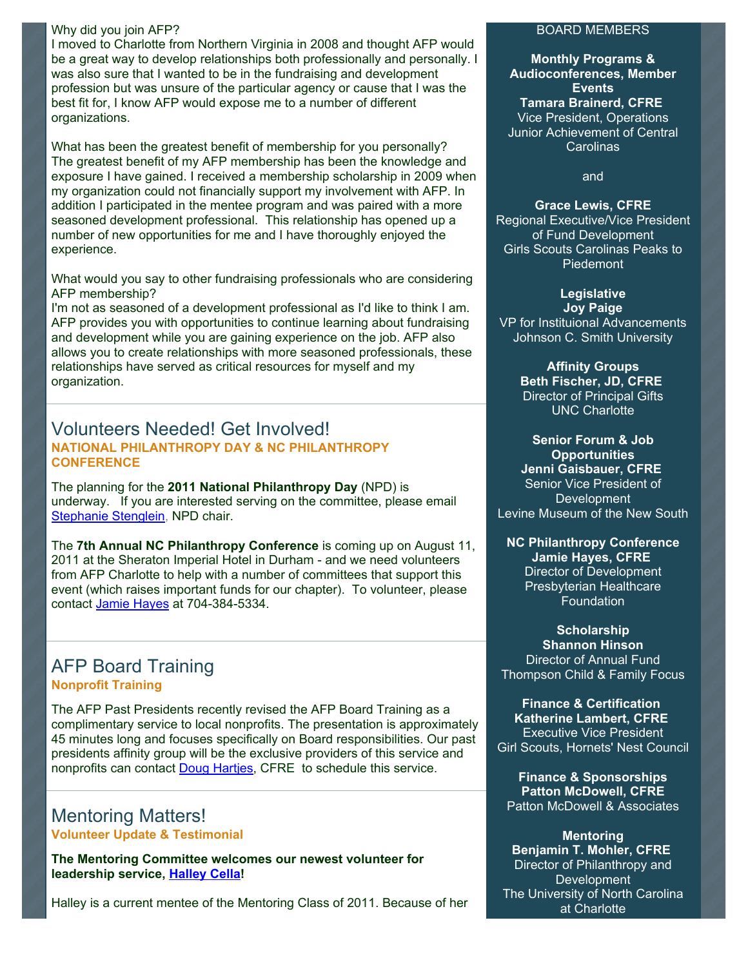#### Why did you join AFP?

I moved to Charlotte from Northern Virginia in 2008 and thought AFP would be a great way to develop relationships both professionally and personally. I was also sure that I wanted to be in the fundraising and development profession but was unsure of the particular agency or cause that I was the best fit for, I know AFP would expose me to a number of different organizations.

What has been the greatest benefit of membership for you personally? The greatest benefit of my AFP membership has been the knowledge and exposure I have gained. I received a membership scholarship in 2009 when my organization could not financially support my involvement with AFP. In addition I participated in the mentee program and was paired with a more seasoned development professional. This relationship has opened up a number of new opportunities for me and I have thoroughly enjoyed the experience.

What would you say to other fundraising professionals who are considering AFP membership?

I'm not as seasoned of a development professional as I'd like to think I am. AFP provides you with opportunities to continue learning about fundraising and development while you are gaining experience on the job. AFP also allows you to create relationships with more seasoned professionals, these relationships have served as critical resources for myself and my organization.

#### Volunteers Needed! Get Involved! **NATIONAL PHILANTHROPY DAY & NC PHILANTHROPY CONFERENCE**

The planning for the **2011 National Philanthropy Day** (NPD) is underway. If you are interested serving on the committee, please email [Stephanie Stenglein,](mailto:stephanies@charlottesymphony.org) NPD chair.

The **7th Annual NC Philanthropy Conference** is coming up on August 11, 2011 at the Sheraton Imperial Hotel in Durham - and we need volunteers from AFP Charlotte to help with a number of committees that support this event (which raises important funds for our chapter). To volunteer, please contact [Jamie Hayes](mailto:jrhayes@novanthealth.org) at 704-384-5334.

### AFP Board Training **Nonprofit Training**

The AFP Past Presidents recently revised the AFP Board Training as a complimentary service to local nonprofits. The presentation is approximately 45 minutes long and focuses specifically on Board responsibilities. Our past presidents affinity group will be the exclusive providers of this service and nonprofits can contact [Doug Hartjes,](mailto:dhartjes@ncwish.org) CFRE to schedule this service.

## Mentoring Matters!

**Volunteer Update & Testimonial**

**The Mentoring Committee welcomes our newest volunteer for leadership service, [Halley Cella!](mailto:hcella@charlottemuseum.org)**

Halley is a current mentee of the Mentoring Class of 2011. Because of her

#### BOARD MEMBERS

**Monthly Programs & Audioconferences, Member Events Tamara Brainerd, CFRE** Vice President, Operations Junior Achievement of Central Carolinas

and

**Grace Lewis, CFRE** Regional Executive/Vice President of Fund Development Girls Scouts Carolinas Peaks to Piedemont

**Legislative Joy Paige** VP for Instituional Advancements Johnson C. Smith University

> **Affinity Groups Beth Fischer, JD, CFRE** Director of Principal Gifts UNC Charlotte

**Senior Forum & Job Opportunities**

**Jenni Gaisbauer, CFRE** Senior Vice President of **Development** Levine Museum of the New South

**NC Philanthropy Conference Jamie Hayes, CFRE** Director of Development Presbyterian Healthcare Foundation

**Scholarship Shannon Hinson** Director of Annual Fund Thompson Child & Family Focus

**Finance & Certification Katherine Lambert, CFRE** Executive Vice President Girl Scouts, Hornets' Nest Council

**Finance & Sponsorships Patton McDowell, CFRE** Patton McDowell & Associates

**Mentoring Benjamin T. Mohler, CFRE** Director of Philanthropy and **Development** The University of North Carolina at Charlotte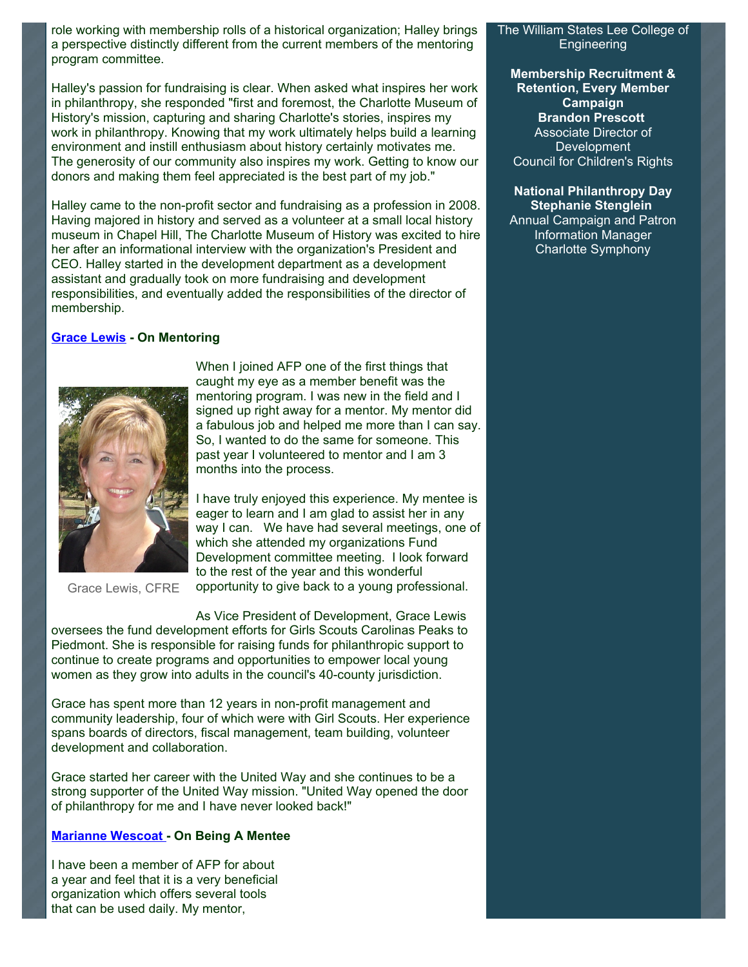role working with membership rolls of a historical organization; Halley brings a perspective distinctly different from the current members of the mentoring program committee.

Halley's passion for fundraising is clear. When asked what inspires her work in philanthropy, she responded "first and foremost, the Charlotte Museum of History's mission, capturing and sharing Charlotte's stories, inspires my work in philanthropy. Knowing that my work ultimately helps build a learning environment and instill enthusiasm about history certainly motivates me. The generosity of our community also inspires my work. Getting to know our donors and making them feel appreciated is the best part of my job."

Halley came to the non-profit sector and fundraising as a profession in 2008. Having majored in history and served as a volunteer at a small local history museum in Chapel Hill, The Charlotte Museum of History was excited to hire her after an informational interview with the organization's President and CEO. Halley started in the development department as a development assistant and gradually took on more fundraising and development responsibilities, and eventually added the responsibilities of the director of membership.

#### **[Grace Lewis](mailto:glewis@girlscoutsp2p.org) - On Mentoring**



When I joined AFP one of the first things that caught my eye as a member benefit was the mentoring program. I was new in the field and I signed up right away for a mentor. My mentor did a fabulous job and helped me more than I can say. So, I wanted to do the same for someone. This past year I volunteered to mentor and I am 3 months into the process.

I have truly enjoyed this experience. My mentee is eager to learn and I am glad to assist her in any way I can. We have had several meetings, one of which she attended my organizations Fund Development committee meeting. I look forward to the rest of the year and this wonderful opportunity to give back to a young professional.

Grace Lewis, CFRE

As Vice President of Development, Grace Lewis

oversees the fund development efforts for Girls Scouts Carolinas Peaks to Piedmont. She is responsible for raising funds for philanthropic support to continue to create programs and opportunities to empower local young women as they grow into adults in the council's 40-county jurisdiction.

Grace has spent more than 12 years in non-profit management and community leadership, four of which were with Girl Scouts. Her experience spans boards of directors, fiscal management, team building, volunteer development and collaboration.

Grace started her career with the United Way and she continues to be a strong supporter of the United Way mission. "United Way opened the door of philanthropy for me and I have never looked back!"

#### **[Marianne Wescoat](mailto:mwescoat@unionacademy.org) - On Being A Mentee**

I have been a member of AFP for about a year and feel that it is a very beneficial organization which offers several tools that can be used daily. My mentor,

The William States Lee College of Engineering

**Membership Recruitment & Retention, Every Member Campaign Brandon Prescott** Associate Director of **Development** Council for Children's Rights

**National Philanthropy Day Stephanie Stenglein**

Annual Campaign and Patron Information Manager Charlotte Symphony